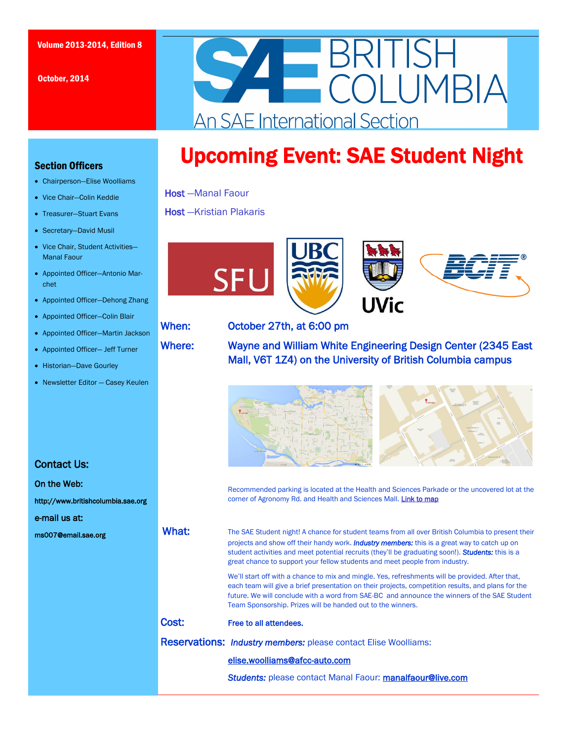October, 2014



# Upcoming Event: SAE Student Night

### Host —Manal Faour

### Host —Kristian Plakaris



### When: October 27th, at 6:00 pm

Where: Wayne and William White Engineering Design Center (2345 East Mall, V6T 1Z4) on the University of British Columbia campus



 Recommended parking is located at the Health and Sciences Parkade or the uncovered lot at the corner of Agronomy Rd. and Health and Sciences Mall. [Link to map](https://www.google.ca/maps/place/2345+E+Mall,+The+University+of+British+Columbia,+Vancouver,+BC+V6T+1Z4/@49.2619901,-123.2478261,19z/data=!4m2!3m1!1s0x548672c9836f0467:0xcc376c48327b8b5f)

What: The SAE Student night! A chance for student teams from all over British Columbia to present their projects and show off their handy work. *Industry members:* this is a great way to catch up on student activities and meet potential recruits (they'll be graduating soon!). *Students:* this is a great chance to support your fellow students and meet people from industry.

> We'll start off with a chance to mix and mingle. Yes, refreshments will be provided. After that, each team will give a brief presentation on their projects, competition results, and plans for the future. We will conclude with a word from SAE-BC and announce the winners of the SAE Student Team Sponsorship. Prizes will be handed out to the winners.

### Cost: Free to all attendees.

Reservations: *Industry members:* please contact Elise Woolliams:

### elise.woolliams@afcc-auto.com

**Students: please contact Manal Faour: manalfaour@live.com** 

### Section Officers

- Chairperson—Elise Woolliams
- Vice Chair-Colin Keddie
- Treasurer-Stuart Evans
- Secretary—David Musil
- Vice Chair, Student Activities-Manal Faour
- Appointed Officer—Antonio Marchet
- Appointed Officer-Dehong Zhang
- Appointed Officer—Colin Blair
- Appointed Officer—Martin Jackson
- Appointed Officer— Jeff Turner
- Historian-Dave Gourley
- Newsletter Editor Casey Keulen

### Contact Us:

On the Web:

http://www.britishcolumbia.sae.org

e-mail us at:

ms007@email.sae.org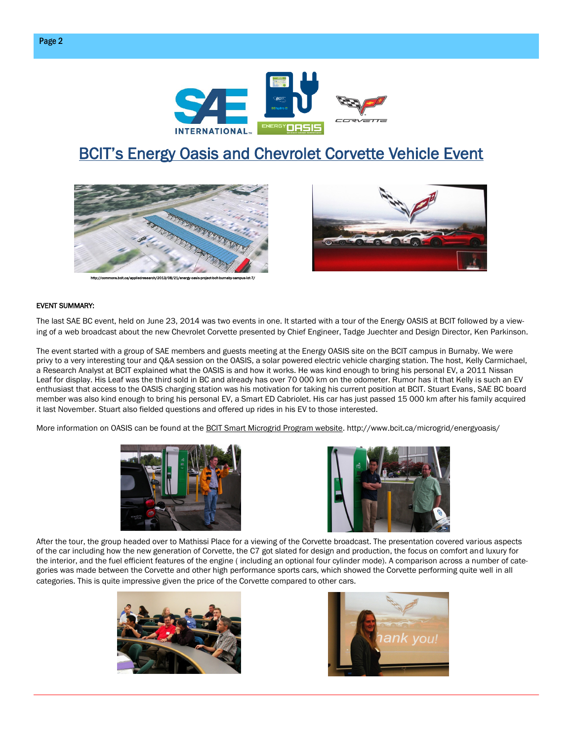

## **BCIT's Energy Oasis and Chevrolet Corvette Vehicle Event**





#### EVENT SUMMARY:

The last SAE BC event, held on June 23, 2014 was two events in one. It started with a tour of the Energy OASIS at BCIT followed by a viewing of a web broadcast about the new Chevrolet Corvette presented by Chief Engineer, Tadge Juechter and Design Director, Ken Parkinson.

The event started with a group of SAE members and guests meeting at the Energy OASIS site on the BCIT campus in Burnaby. We were privy to a very interesting tour and Q&A session on the OASIS, a solar powered electric vehicle charging station. The host, Kelly Carmichael, a Research Analyst at BCIT explained what the OASIS is and how it works. He was kind enough to bring his personal EV, a 2011 Nissan Leaf for display. His Leaf was the third sold in BC and already has over 70 000 km on the odometer. Rumor has it that Kelly is such an EV enthusiast that access to the OASIS charging station was his motivation for taking his current position at BCIT. Stuart Evans, SAE BC board member was also kind enough to bring his personal EV, a Smart ED Cabriolet. His car has just passed 15 000 km after his family acquired it last November. Stuart also fielded questions and offered up rides in his EV to those interested.

More information on OASIS can be found at the [BCIT Smart Microgrid Program website.](http://www.bcit.ca/microgrid/energyoasis/) http://www.bcit.ca/microgrid/energyoasis/





After the tour, the group headed over to Mathissi Place for a viewing of the Corvette broadcast. The presentation covered various aspects of the car including how the new generation of Corvette, the C7 got slated for design and production, the focus on comfort and luxury for the interior, and the fuel efficient features of the engine ( including an optional four cylinder mode). A comparison across a number of categories was made between the Corvette and other high performance sports cars, which showed the Corvette performing quite well in all categories. This is quite impressive given the price of the Corvette compared to other cars.



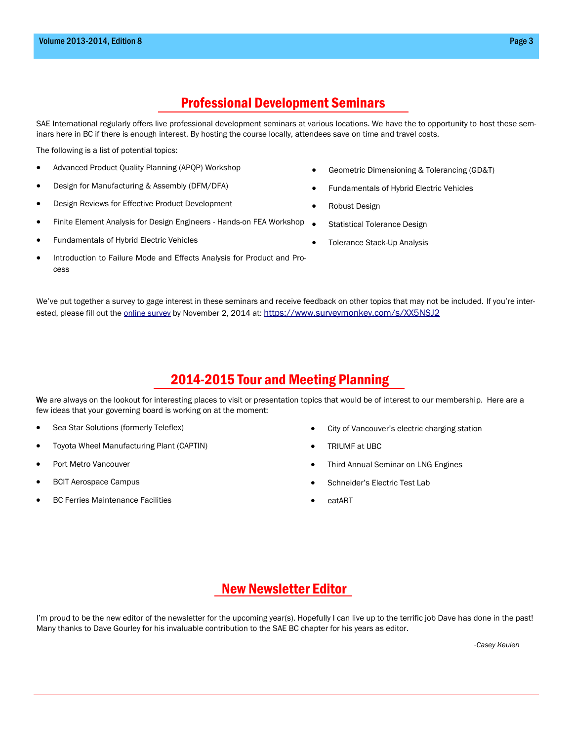## Professional Development Seminars

SAE International regularly offers live professional development seminars at various locations. We have the to opportunity to host these seminars here in BC if there is enough interest. By hosting the course locally, attendees save on time and travel costs.

The following is a list of potential topics:

- Advanced Product Quality Planning (APQP) Workshop
- Design for Manufacturing & Assembly (DFM/DFA)
- Design Reviews for Effective Product Development
- Finite Element Analysis for Design Engineers Hands-on FEA Workshop .
- Fundamentals of Hybrid Electric Vehicles
- Introduction to Failure Mode and Effects Analysis for Product and Process
- Geometric Dimensioning & Tolerancing (GD&T)
- Fundamentals of Hybrid Electric Vehicles
- Robust Design
- Statistical Tolerance Design
- Tolerance Stack-Up Analysis

We've put together a survey to gage interest in these seminars and receive feedback on other topics that may not be included. If you're interested, please fill out the [online survey](https://www.surveymonkey.com/s/XX5NSJ2) by November 2, 2014 at: <https://www.surveymonkey.com/s/XX5NSJ2>

## 2014-2015 Tour and Meeting Planning

We are always on the lookout for interesting places to visit or presentation topics that would be of interest to our membership. Here are a few ideas that your governing board is working on at the moment:

- Sea Star Solutions (formerly Teleflex)
- Toyota Wheel Manufacturing Plant (CAPTIN)
- Port Metro Vancouver
- BCIT Aerospace Campus
- BC Ferries Maintenance Facilities
- City of Vancouver's electric charging station
- TRIUMF at UBC
- Third Annual Seminar on LNG Engines
- Schneider's Electric Test Lab
- eatART

## New Newsletter Editor

I'm proud to be the new editor of the newsletter for the upcoming year(s). Hopefully I can live up to the terrific job Dave has done in the past! Many thanks to Dave Gourley for his invaluable contribution to the SAE BC chapter for his years as editor.

-*Casey Keulen* 

- 
- 
-